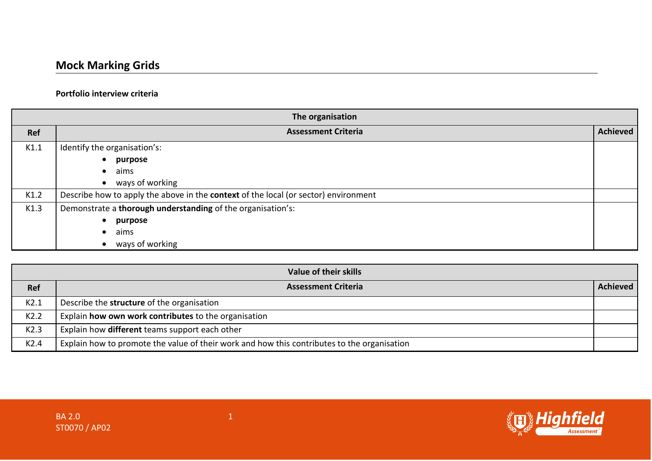## **Portfolio interview criteria**

| The organisation |                                                                                     |                 |
|------------------|-------------------------------------------------------------------------------------|-----------------|
| Ref              | <b>Assessment Criteria</b>                                                          | <b>Achieved</b> |
| K1.1             | Identify the organisation's:                                                        |                 |
|                  | purpose                                                                             |                 |
|                  | aims                                                                                |                 |
|                  | ways of working                                                                     |                 |
| K1.2             | Describe how to apply the above in the context of the local (or sector) environment |                 |
| K1.3             | Demonstrate a thorough understanding of the organisation's:                         |                 |
|                  | purpose                                                                             |                 |
|                  | aims<br>$\bullet$                                                                   |                 |
|                  | ways of working                                                                     |                 |

|                  | Value of their skills                                                                       |          |
|------------------|---------------------------------------------------------------------------------------------|----------|
| <b>Ref</b>       | <b>Assessment Criteria</b>                                                                  | Achieved |
| K2.1             | Describe the structure of the organisation                                                  |          |
| K2.2             | Explain how own work contributes to the organisation                                        |          |
| K2.3             | Explain how different teams support each other                                              |          |
| K <sub>2.4</sub> | Explain how to promote the value of their work and how this contributes to the organisation |          |

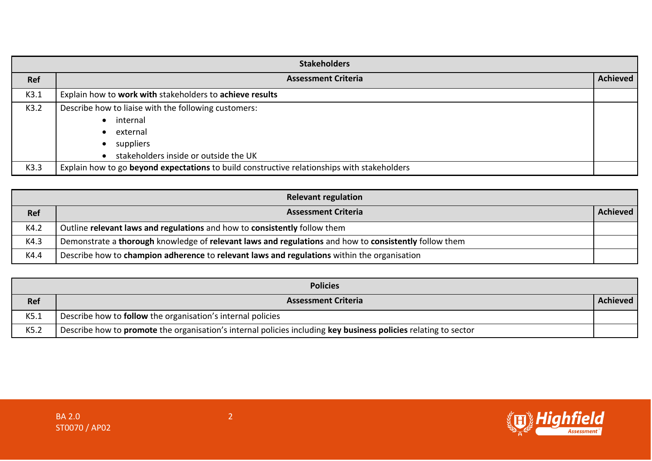| <b>Stakeholders</b> |                                                                                                                                    |                 |
|---------------------|------------------------------------------------------------------------------------------------------------------------------------|-----------------|
| Ref                 | <b>Assessment Criteria</b>                                                                                                         | <b>Achieved</b> |
| K3.1                | Explain how to work with stakeholders to achieve results                                                                           |                 |
| K3.2                | Describe how to liaise with the following customers:<br>internal<br>external<br>suppliers<br>stakeholders inside or outside the UK |                 |
| K3.3                | Explain how to go beyond expectations to build constructive relationships with stakeholders                                        |                 |

|            | <b>Relevant regulation</b>                                                                            |          |
|------------|-------------------------------------------------------------------------------------------------------|----------|
| <b>Ref</b> | <b>Assessment Criteria</b>                                                                            | Achieved |
| K4.2       | Outline relevant laws and regulations and how to consistently follow them                             |          |
| K4.3       | Demonstrate a thorough knowledge of relevant laws and regulations and how to consistently follow them |          |
| K4.4       | Describe how to champion adherence to relevant laws and regulations within the organisation           |          |

|            | <b>Policies</b>                                                                                                 |                 |
|------------|-----------------------------------------------------------------------------------------------------------------|-----------------|
| <b>Ref</b> | <b>Assessment Criteria</b>                                                                                      | <b>Achieved</b> |
| K5.1       | Describe how to <b>follow</b> the organisation's internal policies                                              |                 |
| K5.2       | Describe how to promote the organisation's internal policies including key business policies relating to sector |                 |

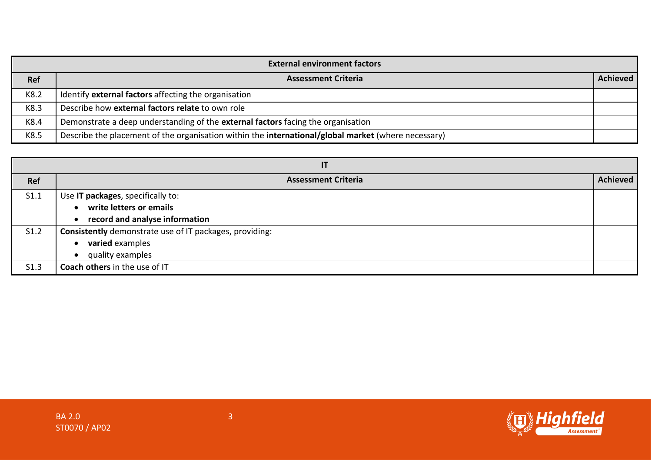| <b>External environment factors</b> |                                                                                                     |                 |
|-------------------------------------|-----------------------------------------------------------------------------------------------------|-----------------|
| Ref                                 | <b>Assessment Criteria</b>                                                                          | <b>Achieved</b> |
| K8.2                                | Identify external factors affecting the organisation                                                |                 |
| K8.3                                | Describe how external factors relate to own role                                                    |                 |
| K8.4                                | Demonstrate a deep understanding of the external factors facing the organisation                    |                 |
| K8.5                                | Describe the placement of the organisation within the international/global market (where necessary) |                 |

| IT         |                                                         |                 |
|------------|---------------------------------------------------------|-----------------|
| <b>Ref</b> | <b>Assessment Criteria</b>                              | <b>Achieved</b> |
| S1.1       | Use IT packages, specifically to:                       |                 |
|            | write letters or emails                                 |                 |
|            | record and analyse information                          |                 |
| S1.2       | Consistently demonstrate use of IT packages, providing: |                 |
|            | varied examples<br>$\bullet$                            |                 |
|            | quality examples                                        |                 |
| S1.3       | Coach others in the use of IT                           |                 |

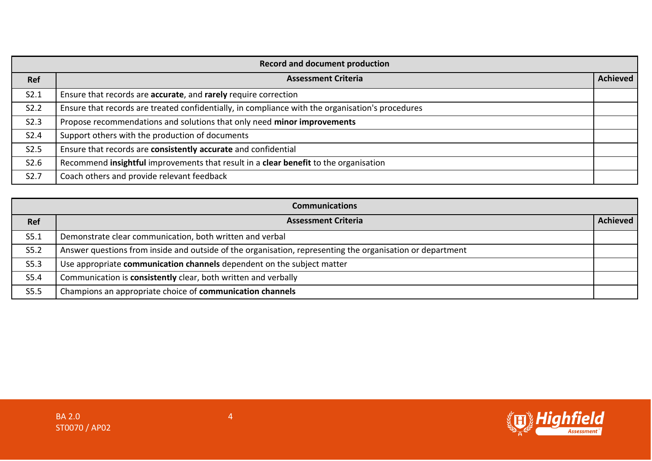|                  | <b>Record and document production</b>                                                            |                 |
|------------------|--------------------------------------------------------------------------------------------------|-----------------|
| <b>Ref</b>       | <b>Assessment Criteria</b>                                                                       | <b>Achieved</b> |
| S2.1             | Ensure that records are accurate, and rarely require correction                                  |                 |
| S2.2             | Ensure that records are treated confidentially, in compliance with the organisation's procedures |                 |
| S2.3             | Propose recommendations and solutions that only need minor improvements                          |                 |
| S2.4             | Support others with the production of documents                                                  |                 |
| S2.5             | Ensure that records are consistently accurate and confidential                                   |                 |
| S2.6             | Recommend insightful improvements that result in a clear benefit to the organisation             |                 |
| S <sub>2.7</sub> | Coach others and provide relevant feedback                                                       |                 |

|            | <b>Communications</b>                                                                                     |          |
|------------|-----------------------------------------------------------------------------------------------------------|----------|
| <b>Ref</b> | <b>Assessment Criteria</b>                                                                                | Achieved |
| S5.1       | Demonstrate clear communication, both written and verbal                                                  |          |
| S5.2       | Answer questions from inside and outside of the organisation, representing the organisation or department |          |
| S5.3       | Use appropriate communication channels dependent on the subject matter                                    |          |
| S5.4       | Communication is consistently clear, both written and verbally                                            |          |
| S5.5       | Champions an appropriate choice of communication channels                                                 |          |

![](_page_3_Picture_2.jpeg)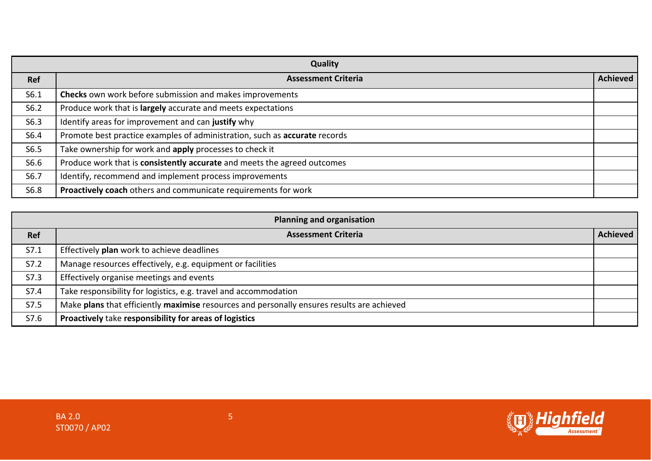|      | Quality                                                                    |                 |
|------|----------------------------------------------------------------------------|-----------------|
| Ref  | <b>Assessment Criteria</b>                                                 | <b>Achieved</b> |
| S6.1 | <b>Checks</b> own work before submission and makes improvements            |                 |
| S6.2 | Produce work that is largely accurate and meets expectations               |                 |
| S6.3 | Identify areas for improvement and can justify why                         |                 |
| S6.4 | Promote best practice examples of administration, such as accurate records |                 |
| S6.5 | Take ownership for work and apply processes to check it                    |                 |
| S6.6 | Produce work that is consistently accurate and meets the agreed outcomes   |                 |
| S6.7 | Identify, recommend and implement process improvements                     |                 |
| S6.8 | Proactively coach others and communicate requirements for work             |                 |

| <b>Planning and organisation</b> |                                                                                            |                 |
|----------------------------------|--------------------------------------------------------------------------------------------|-----------------|
| Ref                              | <b>Assessment Criteria</b>                                                                 | <b>Achieved</b> |
| S7.1                             | Effectively plan work to achieve deadlines                                                 |                 |
| S7.2                             | Manage resources effectively, e.g. equipment or facilities                                 |                 |
| S7.3                             | Effectively organise meetings and events                                                   |                 |
| S7.4                             | Take responsibility for logistics, e.g. travel and accommodation                           |                 |
| S7.5                             | Make plans that efficiently maximise resources and personally ensures results are achieved |                 |
| S7.6                             | Proactively take responsibility for areas of logistics                                     |                 |

![](_page_4_Picture_4.jpeg)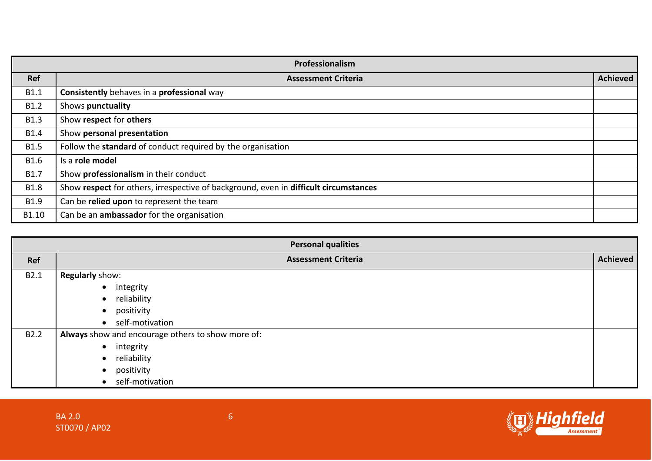|             | Professionalism                                                                      |                 |
|-------------|--------------------------------------------------------------------------------------|-----------------|
| <b>Ref</b>  | <b>Assessment Criteria</b>                                                           | <b>Achieved</b> |
| B1.1        | Consistently behaves in a professional way                                           |                 |
| B1.2        | Shows punctuality                                                                    |                 |
| <b>B1.3</b> | Show respect for others                                                              |                 |
| <b>B1.4</b> | Show personal presentation                                                           |                 |
| <b>B1.5</b> | Follow the standard of conduct required by the organisation                          |                 |
| <b>B1.6</b> | Is a role model                                                                      |                 |
| B1.7        | Show professionalism in their conduct                                                |                 |
| <b>B1.8</b> | Show respect for others, irrespective of background, even in difficult circumstances |                 |
| B1.9        | Can be relied upon to represent the team                                             |                 |
| B1.10       | Can be an ambassador for the organisation                                            |                 |

| <b>Personal qualities</b> |                                                   |                 |  |  |
|---------------------------|---------------------------------------------------|-----------------|--|--|
| Ref                       | <b>Assessment Criteria</b>                        | <b>Achieved</b> |  |  |
| B2.1                      | Regularly show:                                   |                 |  |  |
|                           | • integrity                                       |                 |  |  |
|                           | reliability<br>$\bullet$                          |                 |  |  |
|                           | positivity<br>$\bullet$                           |                 |  |  |
|                           | self-motivation<br>$\bullet$                      |                 |  |  |
| B <sub>2.2</sub>          | Always show and encourage others to show more of: |                 |  |  |
|                           | • integrity                                       |                 |  |  |
|                           | reliability                                       |                 |  |  |
|                           | positivity<br>$\bullet$                           |                 |  |  |
|                           | self-motivation                                   |                 |  |  |

![](_page_5_Picture_4.jpeg)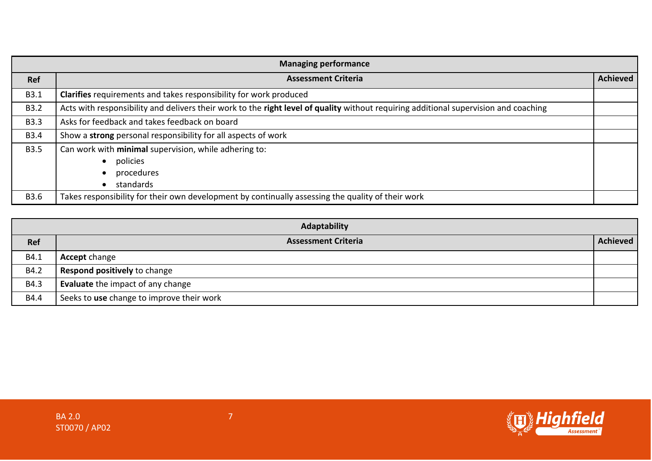| <b>Managing performance</b> |                                                                                                                                      |                 |  |  |
|-----------------------------|--------------------------------------------------------------------------------------------------------------------------------------|-----------------|--|--|
| <b>Ref</b>                  | <b>Assessment Criteria</b>                                                                                                           | <b>Achieved</b> |  |  |
| B3.1                        | Clarifies requirements and takes responsibility for work produced                                                                    |                 |  |  |
| <b>B3.2</b>                 | Acts with responsibility and delivers their work to the right level of quality without requiring additional supervision and coaching |                 |  |  |
| <b>B3.3</b>                 | Asks for feedback and takes feedback on board                                                                                        |                 |  |  |
| <b>B3.4</b>                 | Show a strong personal responsibility for all aspects of work                                                                        |                 |  |  |
| <b>B3.5</b>                 | Can work with minimal supervision, while adhering to:                                                                                |                 |  |  |
|                             | policies                                                                                                                             |                 |  |  |
|                             | procedures                                                                                                                           |                 |  |  |
|                             | standards                                                                                                                            |                 |  |  |
| <b>B3.6</b>                 | Takes responsibility for their own development by continually assessing the quality of their work                                    |                 |  |  |

| Adaptability |                                           |                 |  |  |
|--------------|-------------------------------------------|-----------------|--|--|
| Ref          | <b>Assessment Criteria</b>                | <b>Achieved</b> |  |  |
| B4.1         | <b>Accept change</b>                      |                 |  |  |
| B4.2         | Respond positively to change              |                 |  |  |
| B4.3         | Evaluate the impact of any change         |                 |  |  |
| B4.4         | Seeks to use change to improve their work |                 |  |  |

![](_page_6_Picture_4.jpeg)